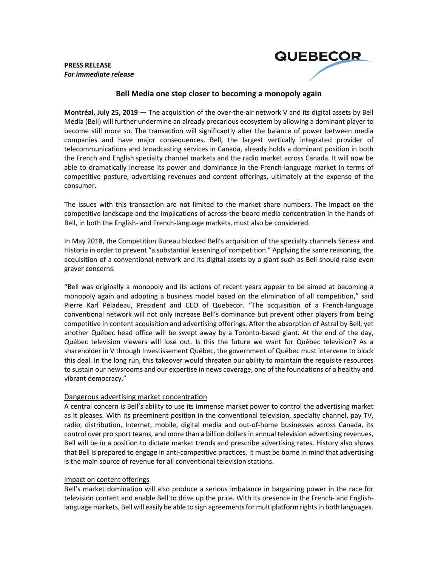**PRESS RELEASE** *For immediate release*



# **Bell Media one step closer to becoming a monopoly again**

**Montréal, July 25, 2019** — The acquisition of the over-the-air network V and its digital assets by Bell Media (Bell) will further undermine an already precarious ecosystem by allowing a dominant player to become still more so. The transaction will significantly alter the balance of power between media companies and have major consequences. Bell, the largest vertically integrated provider of telecommunications and broadcasting services in Canada, already holds a dominant position in both the French and English specialty channel markets and the radio market across Canada. It will now be able to dramatically increase its power and dominance in the French-language market in terms of competitive posture, advertising revenues and content offerings, ultimately at the expense of the consumer.

The issues with this transaction are not limited to the market share numbers. The impact on the competitive landscape and the implications of across-the-board media concentration in the hands of Bell, in both the English- and French-language markets, must also be considered.

In May 2018, the Competition Bureau blocked Bell's acquisition of the specialty channels Séries+ and Historia in order to prevent "a substantial lessening of competition." Applying the same reasoning, the acquisition of a conventional network and its digital assets by a giant such as Bell should raise even graver concerns.

"Bell was originally a monopoly and its actions of recent years appear to be aimed at becoming a monopoly again and adopting a business model based on the elimination of all competition," said Pierre Karl Péladeau, President and CEO of Quebecor. "The acquisition of a French-language conventional network will not only increase Bell's dominance but prevent other players from being competitive in content acquisition and advertising offerings. After the absorption of Astral by Bell, yet another Québec head office will be swept away by a Toronto-based giant. At the end of the day, Québec television viewers will lose out. Is this the future we want for Québec television? As a shareholder in V through Investissement Québec, the government of Québec must intervene to block this deal. In the long run, this takeover would threaten our ability to maintain the requisite resources to sustain our newsrooms and our expertise in news coverage, one of the foundations of a healthy and vibrant democracy."

## Dangerous advertising market concentration

A central concern is Bell's ability to use its immense market power to control the advertising market as it pleases. With its preeminent position in the conventional television, specialty channel, pay TV, radio, distribution, Internet, mobile, digital media and out-of-home businesses across Canada, its control over pro sport teams, and more than a billion dollars in annual television advertising revenues, Bell will be in a position to dictate market trends and prescribe advertising rates. History also shows that Bell is prepared to engage in anti-competitive practices. It must be borne in mind that advertising is the main source of revenue for all conventional television stations.

## Impact on content offerings

Bell's market domination will also produce a serious imbalance in bargaining power in the race for television content and enable Bell to drive up the price. With its presence in the French- and Englishlanguage markets, Bell will easily be able to sign agreements for multiplatform rights in both languages.